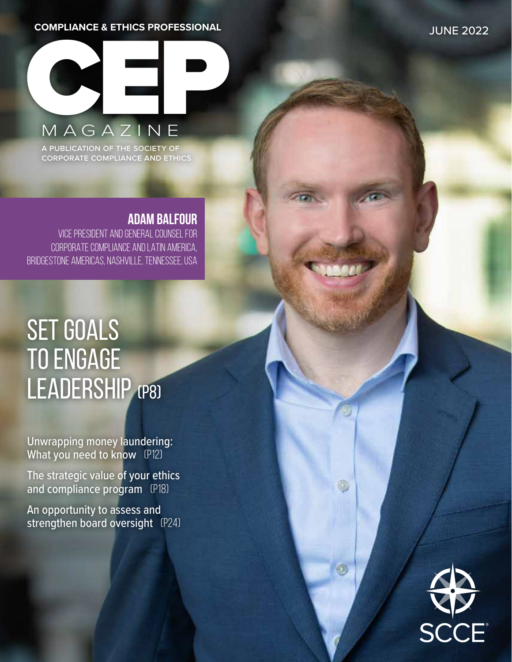#### **COMPLIANCE & ETHICS PROFESSIONAL**



a publication of the society of corporate compliance and ethics

## **ADAM BALFOUR**

VICE PRESIDENT AND GENERAL COUNSEL FOR CORPORATE COMPLIANCE AND LATIN AMERICA, BRIDGESTONE AMERICAS, NASHVILLE, TENNESSEE, USA

# SET GOALS to engage LEADERSHIP (P8)

Unwrapping money laundering: What you need to know (P12)

The strategic value of your ethics and compliance program [P18]

An opportunity to assess and strengthen board oversight (P24)

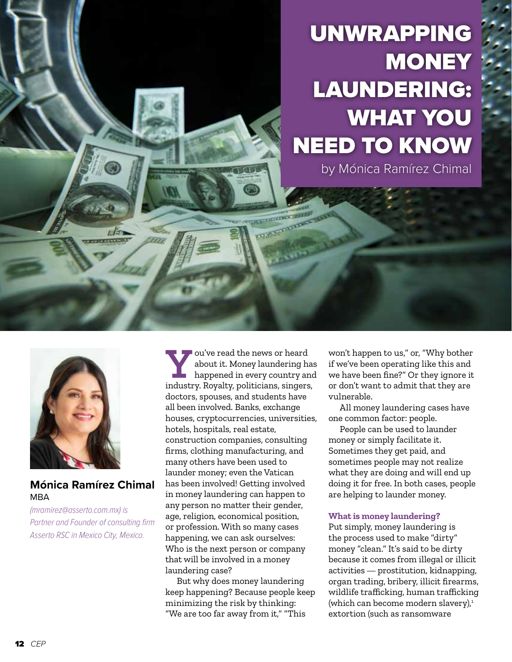## UNWRAPPING **MONEY** LAUNDERING: WHAT YOU NEED TO KNOW by Mónica Ramírez Chimal



### **Mónica Ramírez Chimal MBA**

*(mramirez@asserto.com.mx) is Partner and Founder of consulting firm Asserto RSC in Mexico City, Mexico.*

**Y**ou've read the news or heard<br>about it. Money laundering happened in every country are<br>industry Poyalty politicians, singers about it. Money laundering has happened in every country and industry. Royalty, politicians, singers, doctors, spouses, and students have all been involved. Banks, exchange houses, cryptocurrencies, universities, hotels, hospitals, real estate, construction companies, consulting firms, clothing manufacturing, and many others have been used to launder money; even the Vatican has been involved! Getting involved in money laundering can happen to any person no matter their gender, age, religion, economical position, or profession. With so many cases happening, we can ask ourselves: Who is the next person or company that will be involved in a money laundering case?

mas

But why does money laundering keep happening? Because people keep minimizing the risk by thinking: "We are too far away from it," "This

won't happen to us," or, "Why bother if we've been operating like this and we have been fine?" Or they ignore it or don't want to admit that they are vulnerable.

All money laundering cases have one common factor: people.

People can be used to launder money or simply facilitate it. Sometimes they get paid, and sometimes people may not realize what they are doing and will end up doing it for free. In both cases, people are helping to launder money.

#### **What is money laundering?**

Put simply, money laundering is the process used to make "dirty" money "clean." It's said to be dirty because it comes from illegal or illicit activities — prostitution, kidnapping, organ trading, bribery, illicit firearms, wildlife trafficking, human trafficking (which can become modern slavery), $^1$ extortion (such as ransomware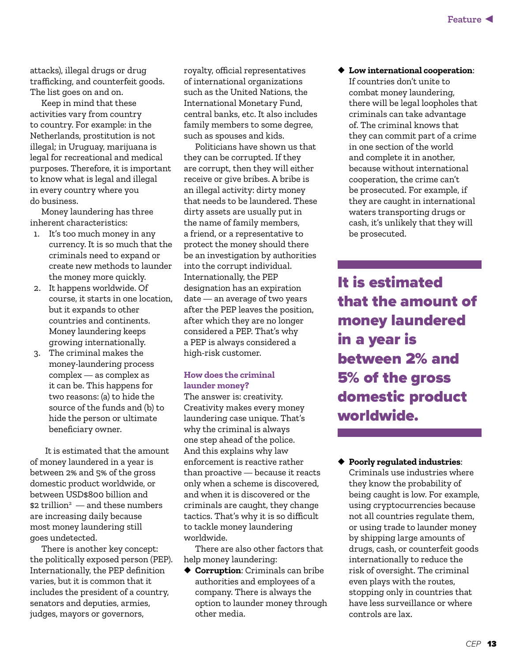attacks), illegal drugs or drug trafficking, and counterfeit goods. The list goes on and on.

Keep in mind that these activities vary from country to country. For example: in the Netherlands, prostitution is not illegal; in Uruguay, marijuana is legal for recreational and medical purposes. Therefore, it is important to know what is legal and illegal in every country where you do business.

Money laundering has three inherent characteristics:

- 1. It's too much money in any currency. It is so much that the criminals need to expand or create new methods to launder the money more quickly.
- 2. It happens worldwide. Of course, it starts in one location, but it expands to other countries and continents. Money laundering keeps growing internationally.
- 3. The criminal makes the money-laundering process complex — as complex as it can be. This happens for two reasons: (a) to hide the source of the funds and (b) to hide the person or ultimate beneficiary owner.

It is estimated that the amount of money laundered in a year is between 2% and 5% of the gross domestic product worldwide, or between USD\$800 billion and  $$2\; trillion^2 \longrightarrow and these numbers$ are increasing daily because most money laundering still goes undetected.

There is another key concept: the politically exposed person (PEP). Internationally, the PEP definition varies, but it is common that it includes the president of a country, senators and deputies, armies, judges, mayors or governors,

royalty, official representatives of international organizations such as the United Nations, the International Monetary Fund, central banks, etc. It also includes family members to some degree, such as spouses and kids.

Politicians have shown us that they can be corrupted. If they are corrupt, then they will either receive or give bribes. A bribe is an illegal activity: dirty money that needs to be laundered. These dirty assets are usually put in the name of family members, a friend, or a representative to protect the money should there be an investigation by authorities into the corrupt individual. Internationally, the PEP designation has an expiration date — an average of two years after the PEP leaves the position, after which they are no longer considered a PEP. That's why a PEP is always considered a high-risk customer.

### **How does the criminal launder money?**

The answer is: creativity. Creativity makes every money laundering case unique. That's why the criminal is always one step ahead of the police. And this explains why law enforcement is reactive rather than proactive — because it reacts only when a scheme is discovered, and when it is discovered or the criminals are caught, they change tactics. That's why it is so difficult to tackle money laundering worldwide.

There are also other factors that help money laundering:

◆ **Corruption**: Criminals can bribe authorities and employees of a company. There is always the option to launder money through other media.

◆ **Low international cooperation**:

If countries don't unite to combat money laundering, there will be legal loopholes that criminals can take advantage of. The criminal knows that they can commit part of a crime in one section of the world and complete it in another, because without international cooperation, the crime can't be prosecuted. For example, if they are caught in international waters transporting drugs or cash, it's unlikely that they will be prosecuted.

It is estimated that the amount of money laundered in a year is between 2% and 5% of the gross domestic product worldwide.

◆ **Poorly regulated industries**: Criminals use industries where they know the probability of being caught is low. For example, using cryptocurrencies because not all countries regulate them, or using trade to launder money by shipping large amounts of drugs, cash, or counterfeit goods internationally to reduce the risk of oversight. The criminal even plays with the routes, stopping only in countries that have less surveillance or where controls are lax.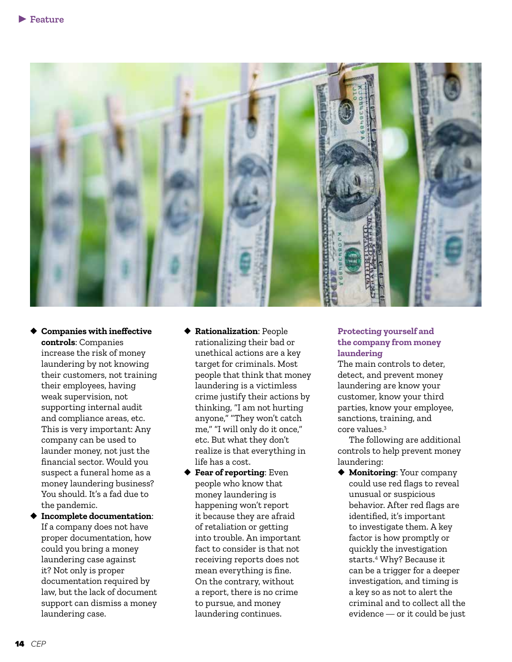

- ◆ **Companies with ineffective controls**: Companies increase the risk of money laundering by not knowing their customers, not training their employees, having weak supervision, not supporting internal audit and compliance areas, etc. This is very important: Any company can be used to launder money, not just the financial sector. Would you suspect a funeral home as a money laundering business? You should. It's a fad due to the pandemic.
- ◆ **Incomplete documentation**: If a company does not have proper documentation, how could you bring a money laundering case against it? Not only is proper documentation required by law, but the lack of document support can dismiss a money laundering case.
- ◆ **Rationalization**: People rationalizing their bad or unethical actions are a key target for criminals. Most people that think that money laundering is a victimless crime justify their actions by thinking, "I am not hurting anyone," "They won't catch me," "I will only do it once," etc. But what they don't realize is that everything in life has a cost.
- ◆ **Fear of reporting**: Even people who know that money laundering is happening won't report it because they are afraid of retaliation or getting into trouble. An important fact to consider is that not receiving reports does not mean everything is fine. On the contrary, without a report, there is no crime to pursue, and money laundering continues.

#### **Protecting yourself and the company from money laundering**

The main controls to deter, detect, and prevent money laundering are know your customer, know your third parties, know your employee, sanctions, training, and core values.3

The following are additional controls to help prevent money laundering:

◆ **Monitoring**: Your company could use red flags to reveal unusual or suspicious behavior. After red flags are identified, it's important to investigate them. A key factor is how promptly or quickly the investigation starts.4 Why? Because it can be a trigger for a deeper investigation, and timing is a key so as not to alert the criminal and to collect all the evidence — or it could be just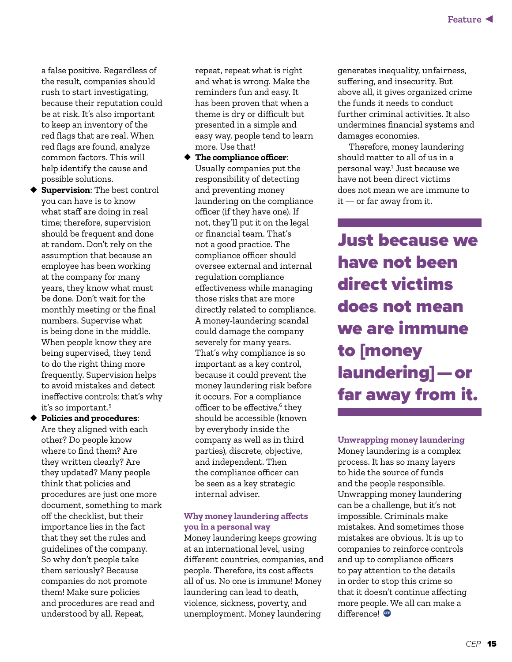a false positive. Regardless of the result, companies should rush to start investigating, because their reputation could be at risk. It's also important to keep an inventory of the red flags that are real. When red flags are found, analyze common factors. This will help identify the cause and possible solutions.

◆ **Supervision**: The best control you can have is to know what staff are doing in real time; therefore, supervision should be frequent and done at random. Don't rely on the assumption that because an employee has been working at the company for many years, they know what must be done. Don't wait for the monthly meeting or the final numbers. Supervise what is being done in the middle. When people know they are being supervised, they tend to do the right thing more frequently. Supervision helps to avoid mistakes and detect ineffective controls; that's why it's so important.5

◆ **Policies and procedures**: Are they aligned with each other? Do people know where to find them? Are they written clearly? Are they updated? Many people think that policies and procedures are just one more document, something to mark off the checklist, but their importance lies in the fact that they set the rules and guidelines of the company. So why don't people take them seriously? Because companies do not promote them! Make sure policies and procedures are read and understood by all. Repeat,

repeat, repeat what is right and what is wrong. Make the reminders fun and easy. It has been proven that when a theme is dry or difficult but presented in a simple and easy way, people tend to learn more. Use that!

◆ **The compliance officer**: Usually companies put the responsibility of detecting and preventing money laundering on the compliance officer (if they have one). If not, they'll put it on the legal or financial team. That's not a good practice. The compliance officer should oversee external and internal regulation compliance effectiveness while managing those risks that are more directly related to compliance. A money-laundering scandal could damage the company severely for many years. That's why compliance is so important as a key control, because it could prevent the money laundering risk before it occurs. For a compliance officer to be effective,<sup>6</sup> they should be accessible (known by everybody inside the company as well as in third parties), discrete, objective, and independent. Then the compliance officer can be seen as a key strategic internal adviser.

#### **Why money laundering affects you in a personal way**

Money laundering keeps growing at an international level, using different countries, companies, and people. Therefore, its cost affects all of us. No one is immune! Money laundering can lead to death, violence, sickness, poverty, and unemployment. Money laundering

generates inequality, unfairness, suffering, and insecurity. But above all, it gives organized crime the funds it needs to conduct further criminal activities. It also undermines financial systems and damages economies.

Therefore, money laundering should matter to all of us in a personal way.7 Just because we have not been direct victims does not mean we are immune to it — or far away from it.

Just because we have not been direct victims does not mean we are immune to [money laundering] — or far away from it.

**Unwrapping money laundering** Money laundering is a complex process. It has so many layers to hide the source of funds and the people responsible. Unwrapping money laundering can be a challenge, but it's not impossible. Criminals make mistakes. And sometimes those mistakes are obvious. It is up to companies to reinforce controls and up to compliance officers to pay attention to the details in order to stop this crime so that it doesn't continue affecting more people. We all can make a difference!   **CEP**